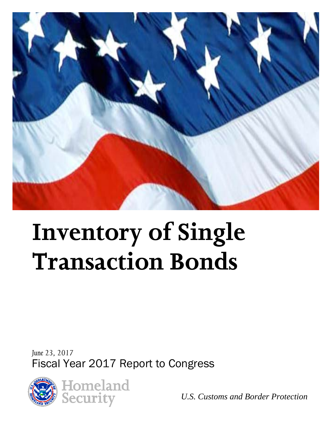

# **Inventory of Single Transaction Bonds**

*June 23, 2017* Fiscal Year 2017 Report to Congress



*U.S. Customs and Border Protection*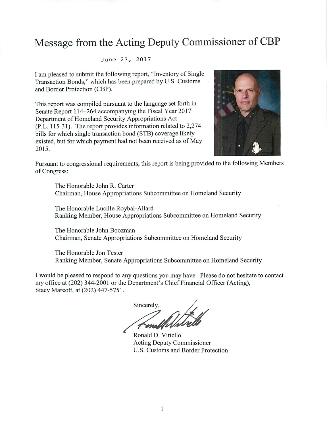#### Message from the Acting Deputy Commissioner of CBP

June 23, 2017

I am pleased to submit the following report, "Inventory of Single" Transaction Bonds," which has been prepared by U.S. Customs and Border Protection (CBP).

This report was compiled pursuant to the language set forth in Senate Report 114–264 accompanying the Fiscal Year 2017 Department of Homeland Security Appropriations Act (P.L. 115-31). The report provides information related to 2,274 bills for which single transaction bond (STB) coverage likely existed, but for which payment had not been received as of May 2015.



Pursuant to congressional requirements, this report is being provided to the following Members of Congress:

The Honorable John R. Carter Chairman, House Appropriations Subcommittee on Homeland Security

The Honorable Lucille Roybal-Allard Ranking Member, House Appropriations Subcommittee on Homeland Security

The Honorable John Boozman Chairman, Senate Appropriations Subcommittee on Homeland Security

The Honorable Jon Tester Ranking Member, Senate Appropriations Subcommittee on Homeland Security

I would be pleased to respond to any questions you may have. Please do not hesitate to contact my office at (202) 344-2001 or the Department's Chief Financial Officer (Acting), Stacy Marcott, at (202) 447-5751.

Sincerely, **COMA** 

Ronald D. Vitiello **Acting Deputy Commissioner** U.S. Customs and Border Protection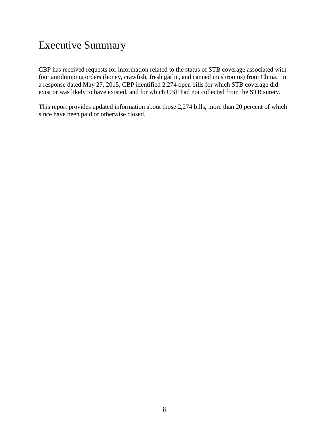#### Executive Summary

CBP has received requests for information related to the status of STB coverage associated with four antidumping orders (honey, crawfish, fresh garlic, and canned mushrooms) from China. In a response dated May 27, 2015, CBP identified 2,274 open bills for which STB coverage did exist or was likely to have existed, and for which CBP had not collected from the STB surety.

This report provides updated information about those 2,274 bills, more than 20 percent of which since have been paid or otherwise closed.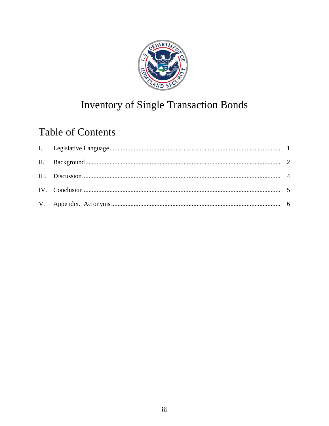

## **Inventory of Single Transaction Bonds**

### **Table of Contents**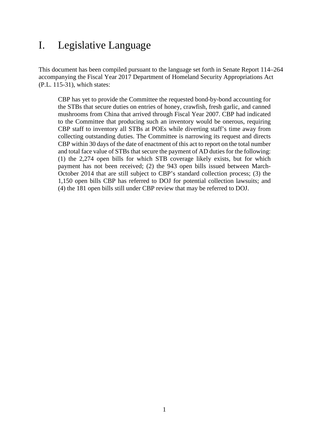#### <span id="page-4-0"></span>I. Legislative Language

This document has been compiled pursuant to the language set forth in Senate Report 114–264 accompanying the Fiscal Year 2017 Department of Homeland Security Appropriations Act (P.L. 115-31), which states:

CBP has yet to provide the Committee the requested bond-by-bond accounting for the STBs that secure duties on entries of honey, crawfish, fresh garlic, and canned mushrooms from China that arrived through Fiscal Year 2007. CBP had indicated to the Committee that producing such an inventory would be onerous, requiring CBP staff to inventory all STBs at POEs while diverting staff's time away from collecting outstanding duties. The Committee is narrowing its request and directs CBP within 30 days of the date of enactment of this act to report on the total number and total face value of STBs that secure the payment of AD duties for the following: (1) the 2,274 open bills for which STB coverage likely exists, but for which payment has not been received; (2) the 943 open bills issued between March-October 2014 that are still subject to CBP's standard collection process; (3) the 1,150 open bills CBP has referred to DOJ for potential collection lawsuits; and (4) the 181 open bills still under CBP review that may be referred to DOJ.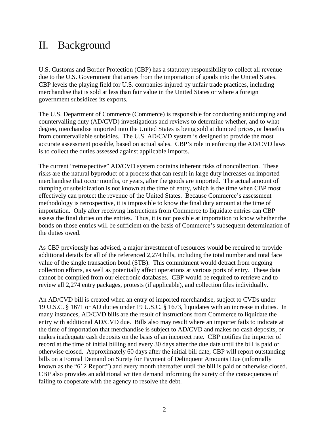#### <span id="page-5-0"></span>II. Background

U.S. Customs and Border Protection (CBP) has a statutory responsibility to collect all revenue due to the U.S. Government that arises from the importation of goods into the United States. CBP levels the playing field for U.S. companies injured by unfair trade practices, including merchandise that is sold at less than fair value in the United States or where a foreign government subsidizes its exports.

The U.S. Department of Commerce (Commerce) is responsible for conducting antidumping and countervailing duty (AD/CVD) investigations and reviews to determine whether, and to what degree, merchandise imported into the United States is being sold at dumped prices, or benefits from countervailable subsidies. The U.S. AD/CVD system is designed to provide the most accurate assessment possible, based on actual sales. CBP's role in enforcing the AD/CVD laws is to collect the duties assessed against applicable imports.

The current "retrospective" AD/CVD system contains inherent risks of noncollection. These risks are the natural byproduct of a process that can result in large duty increases on imported merchandise that occur months, or years, after the goods are imported. The actual amount of dumping or subsidization is not known at the time of entry, which is the time when CBP most effectively can protect the revenue of the United States. Because Commerce's assessment methodology is retrospective, it is impossible to know the final duty amount at the time of importation. Only after receiving instructions from Commerce to liquidate entries can CBP assess the final duties on the entries. Thus, it is not possible at importation to know whether the bonds on those entries will be sufficient on the basis of Commerce's subsequent determination of the duties owed.

As CBP previously has advised, a major investment of resources would be required to provide additional details for all of the referenced 2,274 bills, including the total number and total face value of the single transaction bond (STB). This commitment would detract from ongoing collection efforts, as well as potentially affect operations at various ports of entry. These data cannot be compiled from our electronic databases. CBP would be required to retrieve and to review all 2,274 entry packages, protests (if applicable), and collection files individually.

An AD/CVD bill is created when an entry of imported merchandise, subject to CVDs under 19 U.S.C. § 1671 or AD duties under 19 U.S.C. § 1673, liquidates with an increase in duties. In many instances, AD/CVD bills are the result of instructions from Commerce to liquidate the entry with additional AD/CVD due. Bills also may result where an importer fails to indicate at the time of importation that merchandise is subject to AD/CVD and makes no cash deposits, or makes inadequate cash deposits on the basis of an incorrect rate. CBP notifies the importer of record at the time of initial billing and every 30 days after the due date until the bill is paid or otherwise closed. Approximately 60 days after the initial bill date, CBP will report outstanding bills on a Formal Demand on Surety for Payment of Delinquent Amounts Due (informally known as the "612 Report") and every month thereafter until the bill is paid or otherwise closed. CBP also provides an additional written demand informing the surety of the consequences of failing to cooperate with the agency to resolve the debt.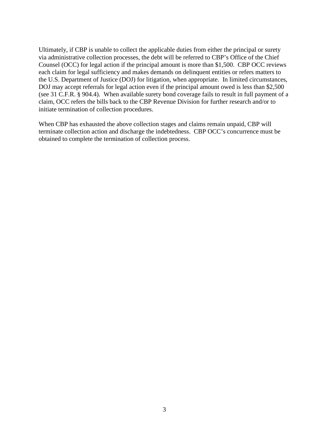Ultimately, if CBP is unable to collect the applicable duties from either the principal or surety via administrative collection processes, the debt will be referred to CBP's Office of the Chief Counsel (OCC) for legal action if the principal amount is more than \$1,500. CBP OCC reviews each claim for legal sufficiency and makes demands on delinquent entities or refers matters to the U.S. Department of Justice (DOJ) for litigation, when appropriate. In limited circumstances, DOJ may accept referrals for legal action even if the principal amount owed is less than \$2,500 (see 31 C.F.R. § 904.4). When available surety bond coverage fails to result in full payment of a claim, OCC refers the bills back to the CBP Revenue Division for further research and/or to initiate termination of collection procedures.

When CBP has exhausted the above collection stages and claims remain unpaid, CBP will terminate collection action and discharge the indebtedness. CBP OCC's concurrence must be obtained to complete the termination of collection process.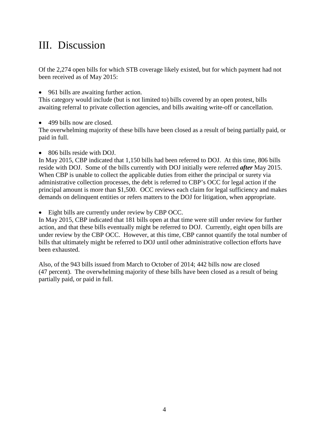#### <span id="page-7-0"></span>III. Discussion

Of the 2,274 open bills for which STB coverage likely existed, but for which payment had not been received as of May 2015:

• 961 bills are awaiting further action.

This category would include (but is not limited to) bills covered by an open protest, bills awaiting referral to private collection agencies, and bills awaiting write-off or cancellation.

• 499 bills now are closed.

The overwhelming majority of these bills have been closed as a result of being partially paid, or paid in full.

• 806 bills reside with DOJ.

In May 2015, CBP indicated that 1,150 bills had been referred to DOJ. At this time, 806 bills reside with DOJ. Some of the bills currently with DOJ initially were referred *after* May 2015. When CBP is unable to collect the applicable duties from either the principal or surety via administrative collection processes, the debt is referred to CBP's OCC for legal action if the principal amount is more than \$1,500. OCC reviews each claim for legal sufficiency and makes demands on delinquent entities or refers matters to the DOJ for litigation, when appropriate.

• Eight bills are currently under review by CBP OCC.

In May 2015, CBP indicated that 181 bills open at that time were still under review for further action, and that these bills eventually might be referred to DOJ. Currently, eight open bills are under review by the CBP OCC. However, at this time, CBP cannot quantify the total number of bills that ultimately might be referred to DOJ until other administrative collection efforts have been exhausted.

Also, of the 943 bills issued from March to October of 2014; 442 bills now are closed (47 percent). The overwhelming majority of these bills have been closed as a result of being partially paid, or paid in full.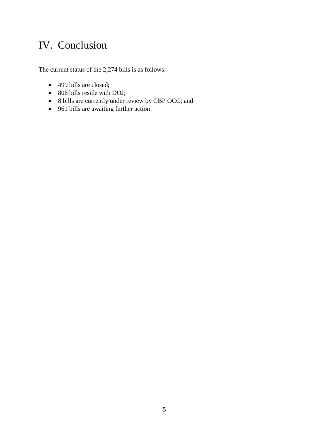#### <span id="page-8-0"></span>IV. Conclusion

The current status of the 2,274 bills is as follows:

- 499 bills are closed;
- 806 bills reside with DOJ;
- 8 bills are currently under review by CBP OCC; and
- 961 bills are awaiting further action.